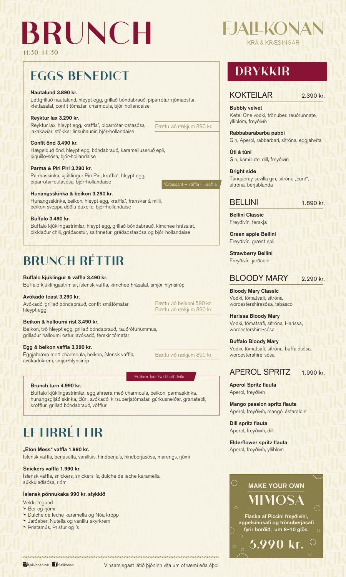## **BRUNCH**

### **DRYKKIR**

### KOKTEILAR 2.390 kr.



### Nautalund 3.890 kr.

Léttgrilluð nautalund, hleypt egg, grillað bóndabrauð, piparrótar-rjómaostur, klettasalat, confit tómatar, charmoula, bjór-hollandaise

### Reyktur lax 3.290 kr.

Reyktur lax, hleypt egg, kraffla\*, piparrótar-ostasósa, laxakavíar, stökkar linsubaunir, bjór-hollandaise

### Confit önd 3.490 kr.

Hægelduð önd, hleypt egg, bóndabrauð, karamelluseruð epli, piquillo-sósa, bjór-hollandaise

### Parma & Piri Piri 3.290 kr.

Parmaskinka, kjúklingur Piri Piri, kraffla\*, hleypt egg, piparrótar-ostasósa, bjór-hollandaise

### Hunangsskinka & beikon 3.290 kr.

Hunangsskinka, beikon, hleypt egg, kraffla\*, franskar á milli, beikon sveppa döðlu duxelle, bjór-hollandaise

### Buffalo 3.490 kr.

Buffalo kjúklingastrimlar, hleypt egg, grillað bóndabrauð, kimchee hrásalat, pikklaður chili, gráðaostur, salthnetur, gráðaostasósa og bjór-hollandaise

### Buffalo kjúklingur & vaffla 3.490 kr.

Buffalo kjúklingastrimlar, íslensk vaffla, kimchee hrásalat, smjör-hlynsíróp

### Avókadó toast 3.290 kr.

Avókadó, grillað bóndabrauð, confit smátómatar, hleypt egg

### Beikon & halloumi rist 3.490 kr.

Beikon, tvö hleypt egg, grillað bóndabrauð, rauðrófuhummus, grillaður halloumi ostur, avókadó, ferskir tómatar

### Egg & beikon vaffla 3.290 kr.

Eggjahræra með charmoula, beikon, íslensk vaffla, avókadókrem, smjör-hlynsíróp

Íslensk vaffla, berjasulta, vanilluís, hindberjaís, hindberjasósa, marengs, rjómi



#### Snickers vaffla 1.990 kr.

Íslensk vaffla, snickers, snickers-ís, dulche de leche karamella, súkkulaðisósa, rjómi

#### Íslensk pönnukaka 990 kr. stykkið

Veldu tegund

**>** Ber og rjómi

- **>** Dulche de leche karamella og Nóa kropp
- **>** Jarðaber, Nutella og vanillu-skyrkrem
- **>** Þristamús, Þristur og ís

O fjallkonan.rvk fil fjallkonan

Bubbly velvet Ketel One vodki, trönuber, rauðrunnate, ylliblóm, freyðivín

Rabbabarabarba pabbi Gin, Aperol, rabbarbari, sítróna, eggjahvíta

Úti á túni Gin, kamillute, dill, freyðivín

Bright side Tanqueray sevilla gin, sítrónu "curd", sítróna, berjablanda

### $B$ ELLINI  $\Box$   $\Box$   $\Box$   $\Box$  890 kr.

Bellini Classic Freyðivín, ferskja

Green apple Bellini Freyðivín, grænt epli

Strawberry Bellini Freyðivín, jarðaber

### BLOODY MARY 2.290 kr.

Bloody Mary Classic Vodki, tómatsafi, sítróna, worcestershiresósa, tabasco

Harissa Bloody Mary Vodki, tómatsafi, sítróna, Harissa, worcestershire-sósa

Buffalo Bloody Mary Vodki, tómatsafi, sítróna, buffalósósa, worcestershire-sósa

### APEROL SPRITZ 1.990 kr.

Aperol Spritz flauta Aperol, freyðivín

Mango passion spritz flauta Aperol, freyðivín, mangó, ástaraldin

Dill spritz flauta Aperol, freyðivín, dill

Elderflower spritz flauta Aperol, freyðivín, ylliblóm

### **EGGS BENEDICT**

### **BRUNCH RÉTTIR**

## **EFTIRRÉTTIR**

### "Eton Mess" vaffla 1.990 kr.

**11:30-14:30**

### Bættu við beikoni 590 kr. Bættu við rækjum 890 kr.

Bættu við rækjum 890 kr.

Bættu við rækjum 890 kr.

### Brunch turn 4.990 kr.

Buffalo kjúklingastrimlar, eggjahræra með charmoula, beikon, parmaskinka, hunangsgljáð skinka, Búri, avókadó, kirsuberjatómatar, gúrkusneiðar, granatepli, kröfflur, grillað bóndabrauð, vöfflur

### Frábær fyrir tvo til að deila

Vinsamlegast látið þjóninn vita um ofnæmi eða óþol